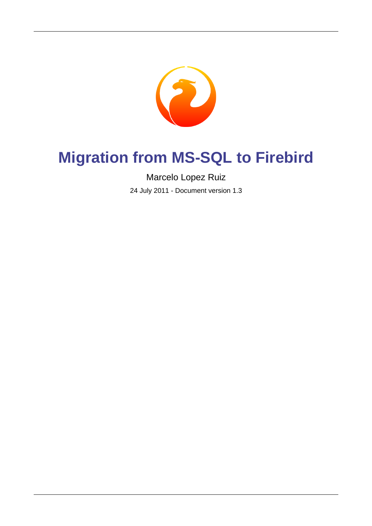

# **Migration from MS-SQL to Firebird**

Marcelo Lopez Ruiz

24 July 2011 - Document version 1.3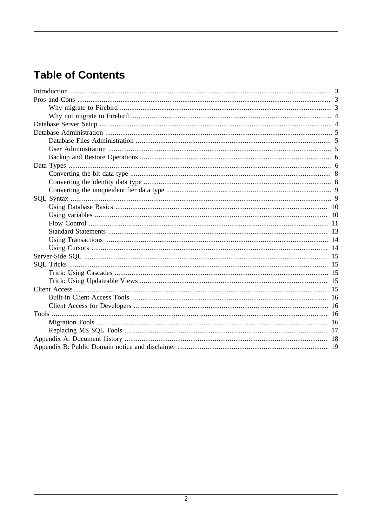## **Table of Contents**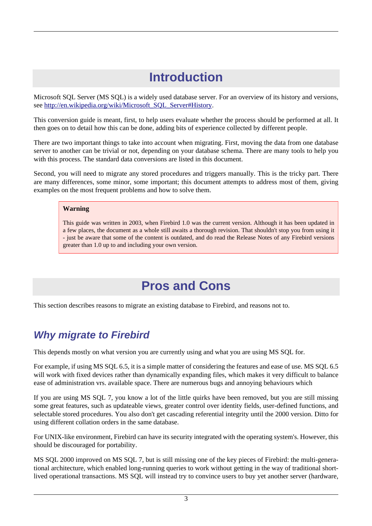# **Introduction**

<span id="page-2-0"></span>Microsoft SQL Server (MS SQL) is a widely used database server. For an overview of its history and versions, see [http://en.wikipedia.org/wiki/Microsoft\\_SQL\\_Server#History](http://en.wikipedia.org/wiki/Microsoft_SQL_Server#History).

This conversion guide is meant, first, to help users evaluate whether the process should be performed at all. It then goes on to detail how this can be done, adding bits of experience collected by different people.

There are two important things to take into account when migrating. First, moving the data from one database server to another can be trivial or not, depending on your database schema. There are many tools to help you with this process. The standard data conversions are listed in this document.

Second, you will need to migrate any stored procedures and triggers manually. This is the tricky part. There are many differences, some minor, some important; this document attempts to address most of them, giving examples on the most frequent problems and how to solve them.

#### **Warning**

<span id="page-2-1"></span>This guide was written in 2003, when Firebird 1.0 was the current version. Although it has been updated in a few places, the document as a whole still awaits a thorough revision. That shouldn't stop you from using it - just be aware that some of the content is outdated, and do read the Release Notes of any Firebird versions greater than 1.0 up to and including your own version.

## **Pros and Cons**

<span id="page-2-2"></span>This section describes reasons to migrate an existing database to Firebird, and reasons not to.

### **Why migrate to Firebird**

This depends mostly on what version you are currently using and what you are using MS SQL for.

For example, if using MS SQL 6.5, it is a simple matter of considering the features and ease of use. MS SQL 6.5 will work with fixed devices rather than dynamically expanding files, which makes it very difficult to balance ease of administration vrs. available space. There are numerous bugs and annoying behaviours which

If you are using MS SQL 7, you know a lot of the little quirks have been removed, but you are still missing some great features, such as updateable views, greater control over identity fields, user-defined functions, and selectable stored procedures. You also don't get cascading referential integrity until the 2000 version. Ditto for using different collation orders in the same database.

For UNIX-like environment, Firebird can have its security integrated with the operating system's. However, this should be discouraged for portability.

MS SQL 2000 improved on MS SQL 7, but is still missing one of the key pieces of Firebird: the multi-generational architecture, which enabled long-running queries to work without getting in the way of traditional shortlived operational transactions. MS SQL will instead try to convince users to buy yet another server (hardware,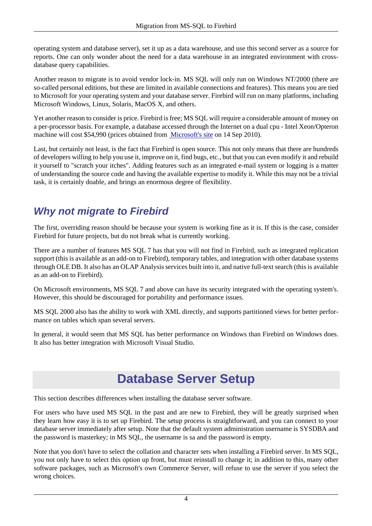operating system and database server), set it up as a data warehouse, and use this second server as a source for reports. One can only wonder about the need for a data warehouse in an integrated environment with crossdatabase query capabilities.

Another reason to migrate is to avoid vendor lock-in. MS SQL will only run on Windows NT/2000 (there are so-called personal editions, but these are limited in available connections and features). This means you are tied to Microsoft for your operating system and your database server. Firebird will run on many platforms, including Microsoft Windows, Linux, Solaris, MacOS X, and others.

Yet another reason to consider is price. Firebird is free; MS SQL will require a considerable amount of money on a per-processor basis. For example, a database accessed through the Internet on a dual cpu - Intel Xeon/Opteron machine will cost \$54,990 (prices obtained from [Microsoft's site](http://www.microsoft.com/sqlserver/2008/en/us/pricing.aspx) on 14 Sep 2010).

Last, but certainly not least, is the fact that Firebird is open source. This not only means that there are hundreds of developers willing to help you use it, improve on it, find bugs, etc., but that you can even modify it and rebuild it yourself to "scratch your itches". Adding features such as an integrated e-mail system or logging is a matter of understanding the source code and having the available expertise to modify it. While this may not be a trivial task, it is certainly doable, and brings an enormous degree of flexibility.

## <span id="page-3-0"></span>**Why not migrate to Firebird**

The first, overriding reason should be because your system is working fine as it is. If this is the case, consider Firebird for future projects, but do not break what is currently working.

There are a number of features MS SQL 7 has that you will not find in Firebird, such as integrated replication support (this is available as an add-on to Firebird), temporary tables, and integration with other database systems through OLE DB. It also has an OLAP Analysis services built into it, and native full-text search (this is available as an add-on to Firebird).

On Microsoft environments, MS SQL 7 and above can have its security integrated with the operating system's. However, this should be discouraged for portability and performance issues.

MS SQL 2000 also has the ability to work with XML directly, and supports partitioned views for better performance on tables which span several servers.

<span id="page-3-1"></span>In general, it would seem that MS SQL has better performance on Windows than Firebird on Windows does. It also has better integration with Microsoft Visual Studio.

## **Database Server Setup**

This section describes differences when installing the database server software.

For users who have used MS SQL in the past and are new to Firebird, they will be greatly surprised when they learn how easy it is to set up Firebird. The setup process is straightforward, and you can connect to your database server immediately after setup. Note that the default system administration username is SYSDBA and the password is masterkey; in MS SQL, the username is sa and the password is empty.

Note that you don't have to select the collation and character sets when installing a Firebird server. In MS SQL, you not only have to select this option up front, but must reinstall to change it; in addition to this, many other software packages, such as Microsoft's own Commerce Server, will refuse to use the server if you select the wrong choices.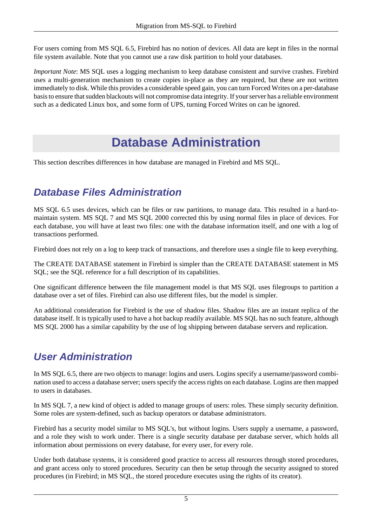For users coming from MS SQL 6.5, Firebird has no notion of devices. All data are kept in files in the normal file system available. Note that you cannot use a raw disk partition to hold your databases.

<span id="page-4-0"></span>*Important Note*: MS SQL uses a logging mechanism to keep database consistent and survive crashes. Firebird uses a multi-generation mechanism to create copies in-place as they are required, but these are not written immediately to disk. While this provides a considerable speed gain, you can turn Forced Writes on a per-database basis to ensure that sudden blackouts will not compromise data integrity. If your server has a reliable environment such as a dedicated Linux box, and some form of UPS, turning Forced Writes on can be ignored.

## **Database Administration**

<span id="page-4-1"></span>This section describes differences in how database are managed in Firebird and MS SQL.

## **Database Files Administration**

MS SQL 6.5 uses devices, which can be files or raw partitions, to manage data. This resulted in a hard-tomaintain system. MS SQL 7 and MS SQL 2000 corrected this by using normal files in place of devices. For each database, you will have at least two files: one with the database information itself, and one with a log of transactions performed.

Firebird does not rely on a log to keep track of transactions, and therefore uses a single file to keep everything.

The CREATE DATABASE statement in Firebird is simpler than the CREATE DATABASE statement in MS SQL; see the SQL reference for a full description of its capabilities.

One significant difference between the file management model is that MS SQL uses filegroups to partition a database over a set of files. Firebird can also use different files, but the model is simpler.

An additional consideration for Firebird is the use of shadow files. Shadow files are an instant replica of the database itself. It is typically used to have a hot backup readily available. MS SQL has no such feature, although MS SQL 2000 has a similar capability by the use of log shipping between database servers and replication.

## <span id="page-4-2"></span>**User Administration**

In MS SQL 6.5, there are two objects to manage: logins and users. Logins specify a username/password combination used to access a database server; users specify the access rights on each database. Logins are then mapped to users in databases.

In MS SQL 7, a new kind of object is added to manage groups of users: roles. These simply security definition. Some roles are system-defined, such as backup operators or database administrators.

Firebird has a security model similar to MS SQL's, but without logins. Users supply a username, a password, and a role they wish to work under. There is a single security database per database server, which holds all information about permissions on every database, for every user, for every role.

Under both database systems, it is considered good practice to access all resources through stored procedures, and grant access only to stored procedures. Security can then be setup through the security assigned to stored procedures (in Firebird; in MS SQL, the stored procedure executes using the rights of its creator).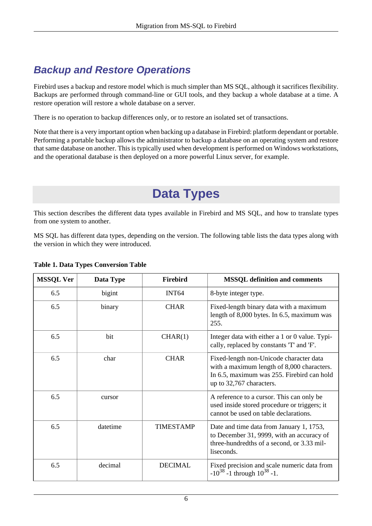## <span id="page-5-0"></span>**Backup and Restore Operations**

Firebird uses a backup and restore model which is much simpler than MS SQL, although it sacrifices flexibility. Backups are performed through command-line or GUI tools, and they backup a whole database at a time. A restore operation will restore a whole database on a server.

There is no operation to backup differences only, or to restore an isolated set of transactions.

<span id="page-5-1"></span>Note that there is a very important option when backing up a database in Firebird: platform dependant or portable. Performing a portable backup allows the administrator to backup a database on an operating system and restore that same database on another. This is typically used when development is performed on Windows workstations, and the operational database is then deployed on a more powerful Linux server, for example.

# **Data Types**

This section describes the different data types available in Firebird and MS SQL, and how to translate types from one system to another.

MS SQL has different data types, depending on the version. The following table lists the data types along with the version in which they were introduced.

| <b>MSSQL Ver</b> | Data Type | <b>Firebird</b>   | <b>MSSQL</b> definition and comments                                                                                                                            |
|------------------|-----------|-------------------|-----------------------------------------------------------------------------------------------------------------------------------------------------------------|
| 6.5              | bigint    | INT <sub>64</sub> | 8-byte integer type.                                                                                                                                            |
| 6.5              | binary    | <b>CHAR</b>       | Fixed-length binary data with a maximum<br>length of 8,000 bytes. In 6.5, maximum was<br>255.                                                                   |
| 6.5              | bit       | CHAR(1)           | Integer data with either a 1 or 0 value. Typi-<br>cally, replaced by constants 'T' and 'F'.                                                                     |
| 6.5              | char      | <b>CHAR</b>       | Fixed-length non-Unicode character data<br>with a maximum length of 8,000 characters.<br>In 6.5, maximum was 255. Firebird can hold<br>up to 32,767 characters. |
| 6.5              | cursor    |                   | A reference to a cursor. This can only be<br>used inside stored procedure or triggers; it<br>cannot be used on table declarations.                              |
| 6.5              | datetime  | <b>TIMESTAMP</b>  | Date and time data from January 1, 1753,<br>to December 31, 9999, with an accuracy of<br>three-hundredths of a second, or 3.33 mil-<br>liseconds.               |
| 6.5              | decimal   | <b>DECIMAL</b>    | Fixed precision and scale numeric data from<br>$-10^{38}$ -1 through $10^{38}$ -1.                                                                              |

#### **Table 1. Data Types Conversion Table**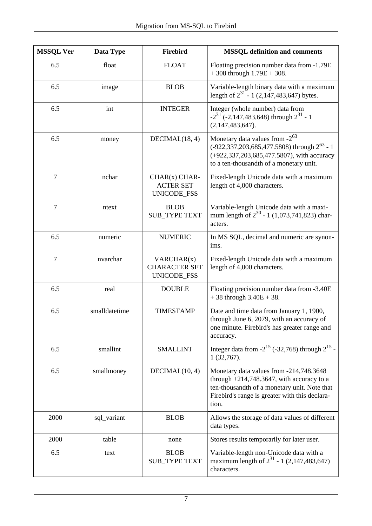| <b>MSSQL Ver</b>        | Data Type     | <b>Firebird</b>                                    | <b>MSSQL</b> definition and comments                                                                                                                                                               |
|-------------------------|---------------|----------------------------------------------------|----------------------------------------------------------------------------------------------------------------------------------------------------------------------------------------------------|
| 6.5                     | float         | <b>FLOAT</b>                                       | Floating precision number data from -1.79E<br>$+308$ through $1.79E + 308$ .                                                                                                                       |
| 6.5                     | image         | <b>BLOB</b>                                        | Variable-length binary data with a maximum<br>length of $2^{31}$ - 1 (2,147,483,647) bytes.                                                                                                        |
| 6.5                     | int           | <b>INTEGER</b>                                     | Integer (whole number) data from<br>$-2^{31}$ (-2,147,483,648) through $2^{31}$ - 1<br>(2,147,483,647).                                                                                            |
| 6.5                     | money         | DECIMAL(18, 4)                                     | Monetary data values from $-2^{63}$<br>$(-922, 337, 203, 685, 477.5808)$ through $2^{63}$ - 1<br>(+922,337,203,685,477.5807), with accuracy<br>to a ten-thousandth of a monetary unit.             |
| $\overline{7}$          | nchar         | $CHAR(x) CHAR-$<br><b>ACTER SET</b><br>UNICODE_FSS | Fixed-length Unicode data with a maximum<br>length of 4,000 characters.                                                                                                                            |
| $\overline{7}$<br>ntext |               | <b>BLOB</b><br><b>SUB_TYPE TEXT</b>                | Variable-length Unicode data with a maxi-<br>mum length of $2^{30}$ - 1 (1,073,741,823) char-<br>acters.                                                                                           |
| 6.5                     | numeric       | <b>NUMERIC</b>                                     | In MS SQL, decimal and numeric are synon-<br>ims.                                                                                                                                                  |
| $\tau$                  | nvarchar      | VARCHAR(x)<br><b>CHARACTER SET</b><br>UNICODE_FSS  | Fixed-length Unicode data with a maximum<br>length of 4,000 characters.                                                                                                                            |
| 6.5                     | real          | <b>DOUBLE</b>                                      | Floating precision number data from -3.40E<br>$+38$ through $3.40E + 38$ .                                                                                                                         |
| 6.5<br>smalldatetime    |               | <b>TIMESTAMP</b>                                   | Date and time data from January 1, 1900,<br>through June 6, 2079, with an accuracy of<br>one minute. Firebird's has greater range and<br>accuracy.                                                 |
| 6.5                     | smallint      | <b>SMALLINT</b>                                    | Integer data from $-2^{15}$ (-32,768) through $2^{15}$ -<br>1(32,767).                                                                                                                             |
| 6.5                     | smallmoney    | DECIMAL(10, 4)                                     | Monetary data values from -214,748.3648<br>through $+214,748.3647$ , with accuracy to a<br>ten-thousandth of a monetary unit. Note that<br>Firebird's range is greater with this declara-<br>tion. |
| 2000                    | sql_variant   | <b>BLOB</b>                                        | Allows the storage of data values of different<br>data types.                                                                                                                                      |
| 2000                    | table<br>none |                                                    | Stores results temporarily for later user.                                                                                                                                                         |
| 6.5                     | text          | <b>BLOB</b><br><b>SUB_TYPE TEXT</b>                | Variable-length non-Unicode data with a<br>maximum length of $2^{31}$ - 1 (2,147,483,647)<br>characters.                                                                                           |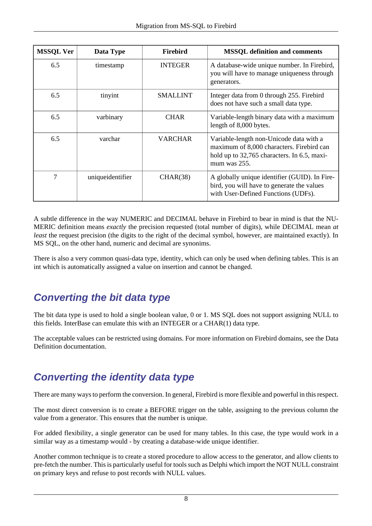| <b>MSSQL Ver</b> | Data Type        | <b>Firebird</b> | <b>MSSQL</b> definition and comments                                                                                                                |
|------------------|------------------|-----------------|-----------------------------------------------------------------------------------------------------------------------------------------------------|
| 6.5              | timestamp        | <b>INTEGER</b>  | A database-wide unique number. In Firebird,<br>you will have to manage uniqueness through<br>generators.                                            |
| 6.5              | tinyint          | <b>SMALLINT</b> | Integer data from 0 through 255. Firebird<br>does not have such a small data type.                                                                  |
| 6.5              | varbinary        | <b>CHAR</b>     | Variable-length binary data with a maximum<br>length of 8,000 bytes.                                                                                |
| 6.5              | varchar          | <b>VARCHAR</b>  | Variable-length non-Unicode data with a<br>maximum of 8,000 characters. Firebird can<br>hold up to 32,765 characters. In 6.5, maxi-<br>mum was 255. |
| $\tau$           | uniqueidentifier | CHAR(38)        | A globally unique identifier (GUID). In Fire-<br>bird, you will have to generate the values<br>with User-Defined Functions (UDFs).                  |

A subtle difference in the way NUMERIC and DECIMAL behave in Firebird to bear in mind is that the NU-MERIC definition means *exactly* the precision requested (total number of digits), while DECIMAL mean *at least* the request precision (the digits to the right of the decimal symbol, however, are maintained exactly). In MS SQL, on the other hand, numeric and decimal are synonims.

<span id="page-7-0"></span>There is also a very common quasi-data type, identity, which can only be used when defining tables. This is an int which is automatically assigned a value on insertion and cannot be changed.

## **Converting the bit data type**

The bit data type is used to hold a single boolean value, 0 or 1. MS SQL does not support assigning NULL to this fields. InterBase can emulate this with an INTEGER or a CHAR(1) data type.

<span id="page-7-1"></span>The acceptable values can be restricted using domains. For more information on Firebird domains, see the Data Definition documentation.

## **Converting the identity data type**

There are many ways to perform the conversion. In general, Firebird is more flexible and powerful in this respect.

The most direct conversion is to create a BEFORE trigger on the table, assigning to the previous column the value from a generator. This ensures that the number is unique.

For added flexibility, a single generator can be used for many tables. In this case, the type would work in a similar way as a timestamp would - by creating a database-wide unique identifier.

Another common technique is to create a stored procedure to allow access to the generator, and allow clients to pre-fetch the number. This is particularly useful for tools such as Delphi which import the NOT NULL constraint on primary keys and refuse to post records with NULL values.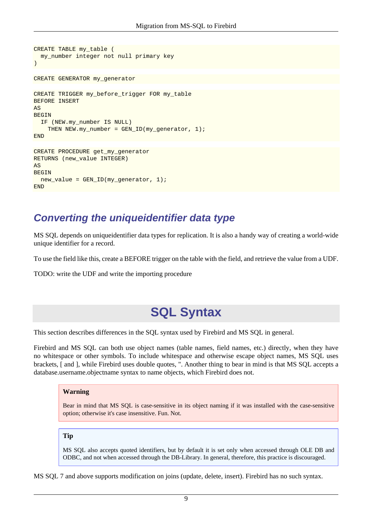```
CREATE TABLE my_table ( 
   my_number integer not null primary key
) 
CREATE GENERATOR my_generator
CREATE TRIGGER my_before_trigger FOR my_table 
BEFORE INSERT 
AS
BEGIN 
   IF (NEW.my_number IS NULL) 
    THEN NEW.my_number = GEN\_ID(my_generator, 1);
END 
CREATE PROCEDURE get_my_generator
RETURNS (new_value INTEGER) 
\DeltaS
BEGIN 
   new_value = GEN_ID(my_generator, 1);
END
```
### <span id="page-8-0"></span>**Converting the uniqueidentifier data type**

MS SQL depends on uniqueidentifier data types for replication. It is also a handy way of creating a world-wide unique identifier for a record.

To use the field like this, create a BEFORE trigger on the table with the field, and retrieve the value from a UDF.

<span id="page-8-1"></span>TODO: write the UDF and write the importing procedure

## **SQL Syntax**

This section describes differences in the SQL syntax used by Firebird and MS SQL in general.

Firebird and MS SQL can both use object names (table names, field names, etc.) directly, when they have no whitespace or other symbols. To include whitespace and otherwise escape object names, MS SQL uses brackets, [ and ], while Firebird uses double quotes, ". Another thing to bear in mind is that MS SQL accepts a database.username.objectname syntax to name objects, which Firebird does not.

#### **Warning**

Bear in mind that MS SQL is case-sensitive in its object naming if it was installed with the case-sensitive option; otherwise it's case insensitive. Fun. Not.

#### **Tip**

MS SQL also accepts quoted identifiers, but by default it is set only when accessed through OLE DB and ODBC, and not when accessed through the DB-Library. In general, therefore, this practice is discouraged.

MS SQL 7 and above supports modification on joins (update, delete, insert). Firebird has no such syntax.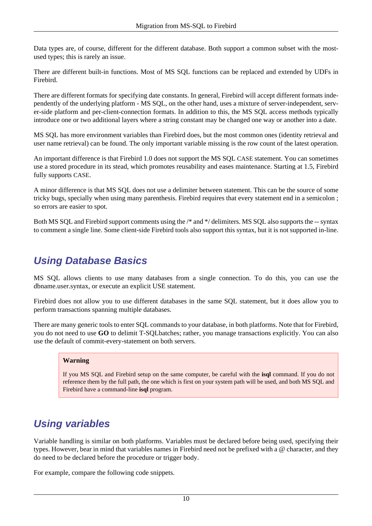Data types are, of course, different for the different database. Both support a common subset with the mostused types; this is rarely an issue.

There are different built-in functions. Most of MS SQL functions can be replaced and extended by UDFs in Firebird.

There are different formats for specifying date constants. In general, Firebird will accept different formats independently of the underlying platform - MS SQL, on the other hand, uses a mixture of server-independent, server-side platform and per-client-connection formats. In addition to this, the MS SQL access methods typically introduce one or two additional layers where a string constant may be changed one way or another into a date.

MS SQL has more environment variables than Firebird does, but the most common ones (identity retrieval and user name retrieval) can be found. The only important variable missing is the row count of the latest operation.

An important difference is that Firebird 1.0 does not support the MS SQL CASE statement. You can sometimes use a stored procedure in its stead, which promotes reusability and eases maintenance. Starting at 1.5, Firebird fully supports CASE.

A minor difference is that MS SQL does not use a delimiter between statement. This can be the source of some tricky bugs, specially when using many parenthesis. Firebird requires that every statement end in a semicolon ; so errors are easier to spot.

<span id="page-9-0"></span>Both MS SQL and Firebird support comments using the /\* and \*/ delimiters. MS SQL also supports the -- syntax to comment a single line. Some client-side Firebird tools also support this syntax, but it is not supported in-line.

## **Using Database Basics**

MS SQL allows clients to use many databases from a single connection. To do this, you can use the dbname.user.syntax, or execute an explicit USE statement.

Firebird does not allow you to use different databases in the same SQL statement, but it does allow you to perform transactions spanning multiple databases.

There are many generic tools to enter SQL commands to your database, in both platforms. Note that for Firebird, you do not need to use **GO** to delimit T-SQLbatches; rather, you manage transactions explicitly. You can also use the default of commit-every-statement on both servers.

#### **Warning**

If you MS SQL and Firebird setup on the same computer, be careful with the **isql** command. If you do not reference them by the full path, the one which is first on your system path will be used, and both MS SQL and Firebird have a command-line **isql** program.

### <span id="page-9-1"></span>**Using variables**

Variable handling is similar on both platforms. Variables must be declared before being used, specifying their types. However, bear in mind that variables names in Firebird need not be prefixed with a @ character, and they do need to be declared before the procedure or trigger body.

For example, compare the following code snippets.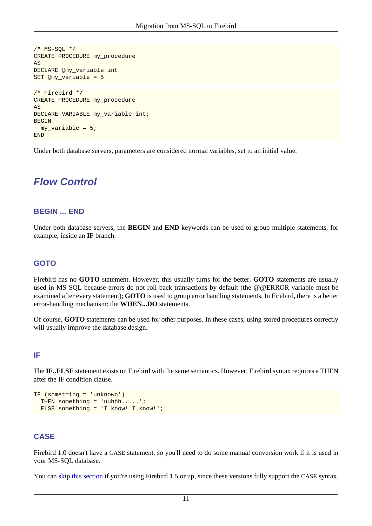```
/* MS-SQL */
CREATE PROCEDURE my_procedure
AS
DECLARE @my_variable int
SET @my_variable = 5
/* Firebird */
CREATE PROCEDURE my_procedure
AS 
DECLARE VARIABLE my variable int;
BEGIN 
 my variable = 5;END
```
<span id="page-10-0"></span>Under both database servers, parameters are considered normal variables, set to an initial value.

### **Flow Control**

#### **BEGIN ... END**

Under both database servers, the **BEGIN** and **END** keywords can be used to group multiple statements, for example, inside an **IF** branch.

### **GOTO**

Firebird has no **GOTO** statement. However, this usually turns for the better. **GOTO** statements are usually used in MS SQL because errors do not roll back transactions by default (the @@ERROR variable must be examined after every statement); **GOTO** is used to group error handling statements. In Firebird, there is a better error-handling mechanism: the **WHEN...DO** statements.

Of course, **GOTO** statements can be used for other purposes. In these cases, using stored procedures correctly will usually improve the database design.

### **IF**

The **IF..ELSE** statement exists on Firebird with the same semantics. However, Firebird syntax requires a THEN after the IF condition clause.

```
IF (something = 'unknown')
  THEN something = 'uuhhh.....';
  ELSE something = 'I know! I know!';
```
### **CASE**

Firebird 1.0 doesn't have a CASE statement, so you'll need to do some manual conversion work if it is used in your MS-SQL database.

You can [skip this section](#page-11-0) if you're using Firebird 1.5 or up, since these versions fully support the CASE syntax.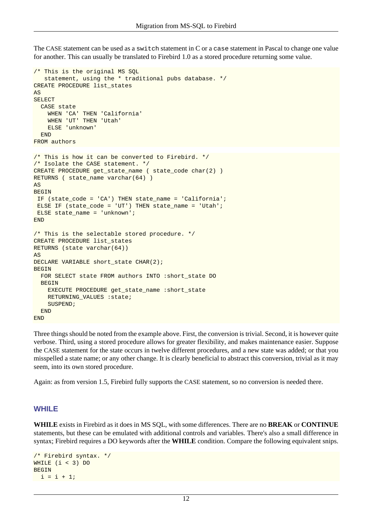The CASE statement can be used as a switch statement in C or a case statement in Pascal to change one value for another. This can usually be translated to Firebird 1.0 as a stored procedure returning some value.

```
/* This is the original MS SQL
    statement, using the * traditional pubs database. */
CREATE PROCEDURE list_states 
AS 
SELECT 
  CASE state 
     WHEN 'CA' THEN 'California'
     WHEN 'UT' THEN 'Utah' 
    ELSE 'unknown' 
  END 
FROM authors 
/* This is how it can be converted to Firebird. */ 
/* Isolate the CASE statement. */
CREATE PROCEDURE get_state_name ( state_code char(2) ) 
RETURNS ( state_name varchar(64) ) 
AS
BEGIN 
 IF (state_code = 'CA') THEN state_name = 'California';
 ELSE IF (state_code = 'UT') THEN state_name = 'Utah'; 
 ELSE state_name = 'unknown'; 
END 
/* This is the selectable stored procedure. */ 
CREATE PROCEDURE list_states 
RETURNS (state varchar(64))
AS
DECLARE VARIABLE short_state CHAR(2);
BEGIN 
  FOR SELECT state FROM authors INTO :short_state DO 
 BEGIN
     EXECUTE PROCEDURE get_state_name :short_state
     RETURNING_VALUES :state; 
    SUSPEND;
 END
END
```
Three things should be noted from the example above. First, the conversion is trivial. Second, it is however quite verbose. Third, using a stored procedure allows for greater flexibility, and makes maintenance easier. Suppose the CASE statement for the state occurs in twelve different procedures, and a new state was added; or that you misspelled a state name; or any other change. It is clearly beneficial to abstract this conversion, trivial as it may seem, into its own stored procedure.

<span id="page-11-0"></span>Again: as from version 1.5, Firebird fully supports the CASE statement, so no conversion is needed there.

### **WHILE**

**WHILE** exists in Firebird as it does in MS SQL, with some differences. There are no **BREAK** or **CONTINUE** statements, but these can be emulated with additional controls and variables. There's also a small difference in syntax; Firebird requires a DO keywords after the **WHILE** condition. Compare the following equivalent snips.

```
/* Firebird syntax. */
WHILE (i < 3) DO 
BEGIN
 i = i + 1;
```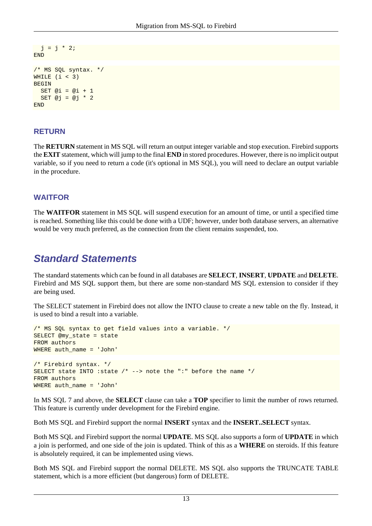```
j = j * 2iEND 
/* MS SQL syntax. */
WHILE (i < 3)BEGIN 
  SET @i = @i + 1SET @j = @j * 2END
```
### **RETURN**

The **RETURN** statement in MS SQL will return an output integer variable and stop execution. Firebird supports the **EXIT** statement, which will jump to the final **END** in stored procedures. However, there is no implicit output variable, so if you need to return a code (it's optional in MS SQL), you will need to declare an output variable in the procedure.

### **WAITFOR**

The **WAITFOR** statement in MS SQL will suspend execution for an amount of time, or until a specified time is reached. Something like this could be done with a UDF; however, under both database servers, an alternative would be very much preferred, as the connection from the client remains suspended, too.

### <span id="page-12-0"></span>**Standard Statements**

The standard statements which can be found in all databases are **SELECT**, **INSERT**, **UPDATE** and **DELETE**. Firebird and MS SQL support them, but there are some non-standard MS SQL extension to consider if they are being used.

The SELECT statement in Firebird does not allow the INTO clause to create a new table on the fly. Instead, it is used to bind a result into a variable.

```
/* MS SQL syntax to get field values into a variable. */
SELECT @my_state = state
FROM authors
WHERE auth_name = 'John'
/* Firebird syntax. */
SELECT state INTO : state /* --> note the ":" before the name */FROM authors
WHERE auth name = 'John'
```
In MS SQL 7 and above, the **SELECT** clause can take a **TOP** specifier to limit the number of rows returned. This feature is currently under development for the Firebird engine.

Both MS SQL and Firebird support the normal **INSERT** syntax and the **INSERT..SELECT** syntax.

Both MS SQL and Firebird support the normal **UPDATE**. MS SQL also supports a form of **UPDATE** in which a join is performed, and one side of the join is updated. Think of this as a **WHERE** on steroids. If this feature is absolutely required, it can be implemented using views.

Both MS SQL and Firebird support the normal DELETE. MS SQL also supports the TRUNCATE TABLE statement, which is a more efficient (but dangerous) form of DELETE.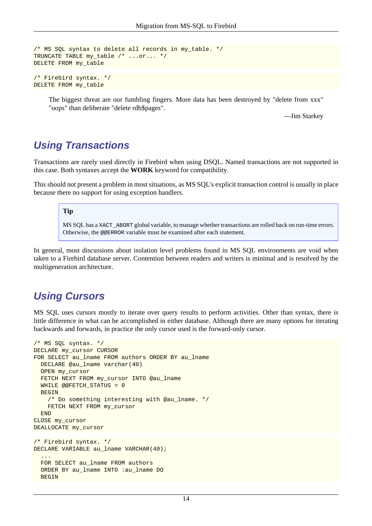```
/* MS SQL syntax to delete all records in my_table. */
TRUNCATE TABLE my_table /* ...or... */
DELETE FROM my_table 
/* Firebird syntax. */
```
DELETE FROM my\_table

The biggest threat are our fumbling fingers. More data has been destroyed by "delete from xxx" "oops" than deliberate "delete rdb\$pages".

—Jim Starkey

### <span id="page-13-0"></span>**Using Transactions**

Transactions are rarely used directly in Firebird when using DSQL. Named transactions are not supported in this case. Both syntaxes accept the **WORK** keyword for compatibility.

This should not present a problem in most situations, as MS SQL's explicit transaction control is usually in place because there no support for using exception handlers.

#### **Tip**

MS SQL has a XACT\_ABORT global variable, to manage whether transactions are rolled back on run-time errors. Otherwise, the @@ERROR variable must be examined after each statement.

In general, most discussions about isolation level problems found in MS SQL environments are void when taken to a Firebird database server. Contention between readers and writers is minimal and is resolved by the multigeneration architecture.

### <span id="page-13-1"></span>**Using Cursors**

MS SQL uses cursors mostly to iterate over query results to perform activities. Other than syntax, there is little difference in what can be accomplished in either database. Although there are many options for iterating backwards and forwards, in practice the only cursor used is the forward-only cursor.

```
/* MS SQL syntax. */
DECLARE my_cursor CURSOR
FOR SELECT au_lname FROM authors ORDER BY au_lname
  DECLARE @au_lname varchar(40)
   OPEN my_cursor
  FETCH NEXT FROM my_cursor INTO @au_lname
   WHILE @@FETCH_STATUS = 0 
   BEGIN 
     /* Do something interesting with @au_lname. */
     FETCH NEXT FROM my_cursor 
 END
CLOSE my_cursor
DEALLOCATE my_cursor 
/* Firebird syntax. */
DECLARE VARIABLE au_lname VARCHAR(40);
   ... 
  FOR SELECT au_lname FROM authors 
  ORDER BY au_lname INTO :au_lname DO 
  BEGIN
```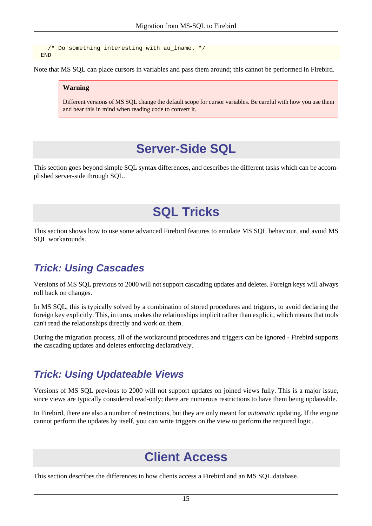/\* Do something interesting with au\_lname. \*/ END

Note that MS SQL can place cursors in variables and pass them around; this cannot be performed in Firebird.

#### **Warning**

<span id="page-14-0"></span>Different versions of MS SQL change the default scope for cursor variables. Be careful with how you use them and bear this in mind when reading code to convert it.

## **Server-Side SQL**

<span id="page-14-1"></span>This section goes beyond simple SQL syntax differences, and describes the different tasks which can be accomplished server-side through SQL.

# **SQL Tricks**

<span id="page-14-2"></span>This section shows how to use some advanced Firebird features to emulate MS SQL behaviour, and avoid MS SQL workarounds.

### **Trick: Using Cascades**

Versions of MS SQL previous to 2000 will not support cascading updates and deletes. Foreign keys will always roll back on changes.

In MS SQL, this is typically solved by a combination of stored procedures and triggers, to avoid declaring the foreign key explicitly. This, in turns, makes the relationships implicit rather than explicit, which means that tools can't read the relationships directly and work on them.

<span id="page-14-3"></span>During the migration process, all of the workaround procedures and triggers can be ignored - Firebird supports the cascading updates and deletes enforcing declaratively.

## **Trick: Using Updateable Views**

Versions of MS SQL previous to 2000 will not support updates on joined views fully. This is a major issue, since views are typically considered read-only; there are numerous restrictions to have them being updateable.

<span id="page-14-4"></span>In Firebird, there are also a number of restrictions, but they are only meant for *automatic* updating. If the engine cannot perform the updates by itself, you can write triggers on the view to perform the required logic.

## **Client Access**

This section describes the differences in how clients access a Firebird and an MS SQL database.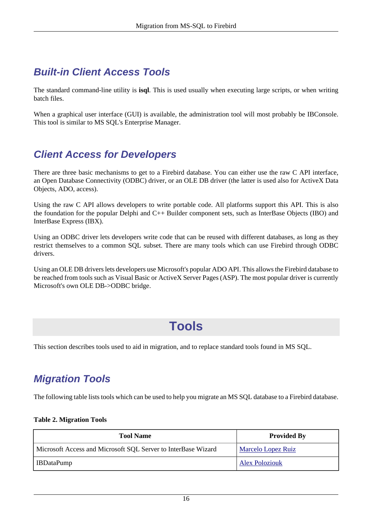## <span id="page-15-0"></span>**Built-in Client Access Tools**

The standard command-line utility is **isql**. This is used usually when executing large scripts, or when writing batch files.

<span id="page-15-1"></span>When a graphical user interface (GUI) is available, the administration tool will most probably be IBConsole. This tool is similar to MS SQL's Enterprise Manager.

## **Client Access for Developers**

There are three basic mechanisms to get to a Firebird database. You can either use the raw C API interface, an Open Database Connectivity (ODBC) driver, or an OLE DB driver (the latter is used also for ActiveX Data Objects, ADO, access).

Using the raw C API allows developers to write portable code. All platforms support this API. This is also the foundation for the popular Delphi and C++ Builder component sets, such as InterBase Objects (IBO) and InterBase Express (IBX).

Using an ODBC driver lets developers write code that can be reused with different databases, as long as they restrict themselves to a common SQL subset. There are many tools which can use Firebird through ODBC drivers.

<span id="page-15-2"></span>Using an OLE DB drivers lets developers use Microsoft's popular ADO API. This allows the Firebird database to be reached from tools such as Visual Basic or ActiveX Server Pages (ASP). The most popular driver is currently Microsoft's own OLE DB->ODBC bridge.

## **Tools**

<span id="page-15-3"></span>This section describes tools used to aid in migration, and to replace standard tools found in MS SQL.

## **Migration Tools**

The following table lists tools which can be used to help you migrate an MS SQL database to a Firebird database.

#### **Table 2. Migration Tools**

| <b>Tool Name</b>                                              | <b>Provided By</b>        |
|---------------------------------------------------------------|---------------------------|
| Microsoft Access and Microsoft SQL Server to InterBase Wizard | <b>Marcelo Lopez Ruiz</b> |
| IBDataPump                                                    | <b>Alex Poloziouk</b>     |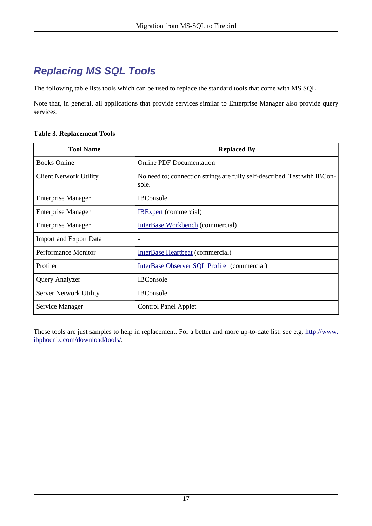## <span id="page-16-0"></span>**Replacing MS SQL Tools**

The following table lists tools which can be used to replace the standard tools that come with MS SQL.

Note that, in general, all applications that provide services similar to Enterprise Manager also provide query services.

#### **Table 3. Replacement Tools**

| <b>Tool Name</b>              | <b>Replaced By</b>                                                                 |
|-------------------------------|------------------------------------------------------------------------------------|
| <b>Books Online</b>           | <b>Online PDF Documentation</b>                                                    |
| <b>Client Network Utility</b> | No need to; connection strings are fully self-described. Test with IBCon-<br>sole. |
| <b>Enterprise Manager</b>     | <b>IBC</b> onsole                                                                  |
| <b>Enterprise Manager</b>     | <b>IBExpert</b> (commercial)                                                       |
| <b>Enterprise Manager</b>     | InterBase Workbench (commercial)                                                   |
| <b>Import and Export Data</b> | ٠                                                                                  |
| Performance Monitor           | InterBase Heartbeat (commercial)                                                   |
| Profiler                      | InterBase Observer SQL Profiler (commercial)                                       |
| Query Analyzer                | <b>IBC</b> onsole                                                                  |
| <b>Server Network Utility</b> | <b>IBConsole</b>                                                                   |
| Service Manager               | <b>Control Panel Applet</b>                                                        |

These tools are just samples to help in replacement. For a better and more up-to-date list, see e.g. [http://www.](http://www.ibphoenix.com/download/tools/) [ibphoenix.com/download/tools/.](http://www.ibphoenix.com/download/tools/)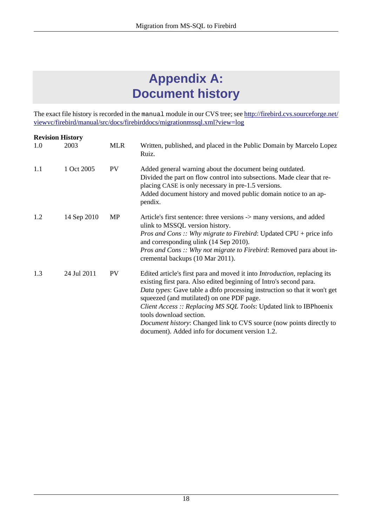# **Appendix A: Document history**

<span id="page-17-0"></span>The exact file history is recorded in the manual module in our CVS tree; see [http://firebird.cvs.sourceforge.net/](http://firebird.cvs.sourceforge.net/viewvc/firebird/manual/src/docs/firebirddocs/migrationmssql.xml?view=log) [viewvc/firebird/manual/src/docs/firebirddocs/migrationmssql.xml?view=log](http://firebird.cvs.sourceforge.net/viewvc/firebird/manual/src/docs/firebirddocs/migrationmssql.xml?view=log)

| <b>Revision History</b> |             |            |                                                                                                                                                                                                                                                                                                                                                                                                                                                                                                                      |  |
|-------------------------|-------------|------------|----------------------------------------------------------------------------------------------------------------------------------------------------------------------------------------------------------------------------------------------------------------------------------------------------------------------------------------------------------------------------------------------------------------------------------------------------------------------------------------------------------------------|--|
| 1.0                     | 2003        | <b>MLR</b> | Written, published, and placed in the Public Domain by Marcelo Lopez<br>Ruiz.                                                                                                                                                                                                                                                                                                                                                                                                                                        |  |
| 1.1                     | 1 Oct 2005  | <b>PV</b>  | Added general warning about the document being outdated.<br>Divided the part on flow control into subsections. Made clear that re-<br>placing CASE is only necessary in pre-1.5 versions.<br>Added document history and moved public domain notice to an ap-<br>pendix.                                                                                                                                                                                                                                              |  |
| 1.2                     | 14 Sep 2010 | MP         | Article's first sentence: three versions -> many versions, and added<br>ulink to MSSQL version history.<br><i>Pros and Cons</i> :: Why migrate to Firebird: Updated CPU + price info<br>and corresponding ulink (14 Sep 2010).<br><i>Pros and Cons</i> :: Why not migrate to Firebird: Removed para about in-<br>cremental backups (10 Mar 2011).                                                                                                                                                                    |  |
| 1.3                     | 24 Jul 2011 | <b>PV</b>  | Edited article's first para and moved it into <i>Introduction</i> , replacing its<br>existing first para. Also edited beginning of Intro's second para.<br>Data types: Gave table a dbfo processing instruction so that it won't get<br>squeezed (and mutilated) on one PDF page.<br><i>Client Access :: Replacing MS SQL Tools: Updated link to IBPhoenix</i><br>tools download section.<br>Document history: Changed link to CVS source (now points directly to<br>document). Added info for document version 1.2. |  |